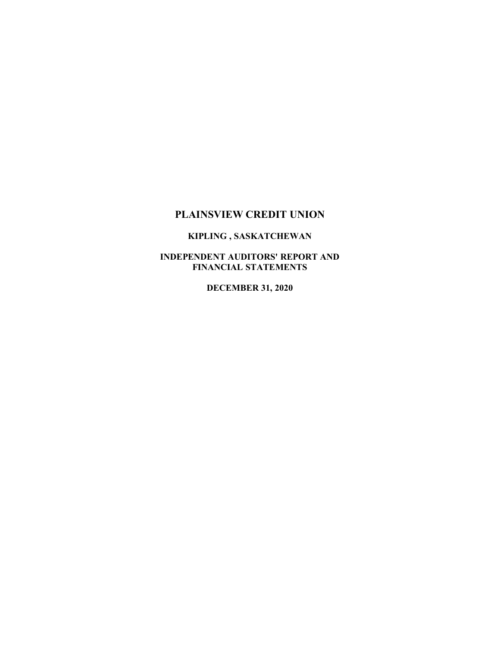# **PLAINSVIEW CREDIT UNION**

## **KIPLING , SASKATCHEWAN**

## **INDEPENDENT AUDITORS' REPORT AND FINANCIAL STATEMENTS**

**DECEMBER 31, 2020**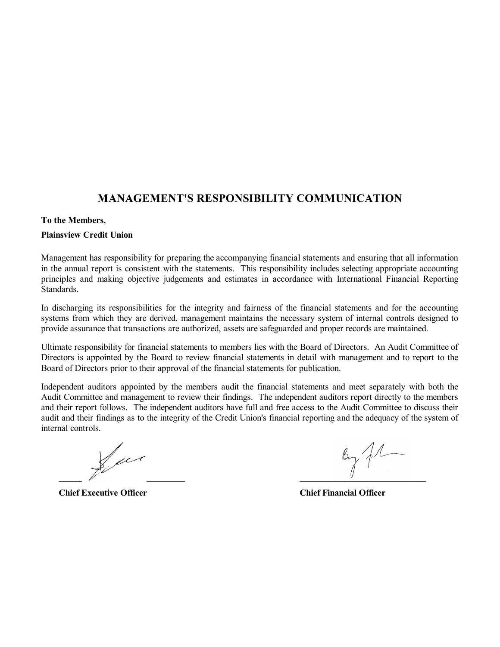# **MANAGEMENT'S RESPONSIBILITY COMMUNICATION**

## **To the Members,**

## **Plainsview Credit Union**

Management has responsibility for preparing the accompanying financial statements and ensuring that all information in the annual report is consistent with the statements. This responsibility includes selecting appropriate accounting principles and making objective judgements and estimates in accordance with International Financial Reporting Standards.

In discharging its responsibilities for the integrity and fairness of the financial statements and for the accounting systems from which they are derived, management maintains the necessary system of internal controls designed to provide assurance that transactions are authorized, assets are safeguarded and proper records are maintained.

Ultimate responsibility for financial statements to members lies with the Board of Directors. An Audit Committee of Directors is appointed by the Board to review financial statements in detail with management and to report to the Board of Directors prior to their approval of the financial statements for publication.

Independent auditors appointed by the members audit the financial statements and meet separately with both the Audit Committee and management to review their findings. The independent auditors report directly to the members and their report follows. The independent auditors have full and free access to the Audit Committee to discuss their audit and their findings as to the integrity of the Credit Union's financial reporting and the adequacy of the system of internal controls.

Sur **\_\_\_\_\_\_\_\_\_\_\_\_\_\_\_\_\_\_\_\_\_\_\_\_\_\_\_\_ \_\_\_\_\_\_\_\_\_\_\_\_\_\_\_\_\_\_\_\_\_\_\_\_\_\_\_\_**

**Chief Executive Officer Chief Financial Officer**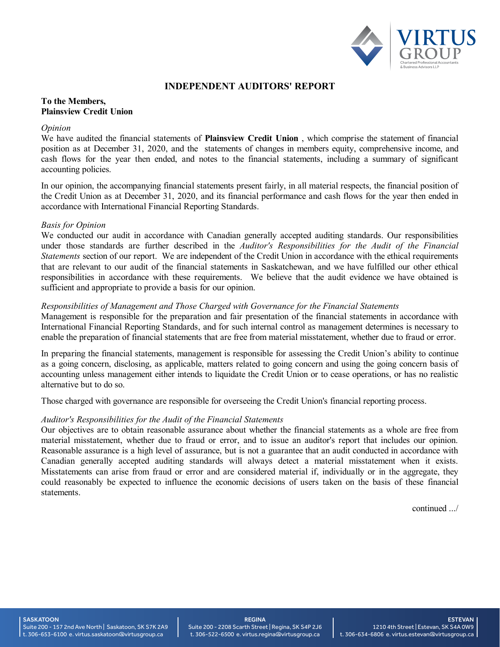

## **INDEPENDENT AUDITORS' REPORT**

## **To the Members, Plainsview Credit Union**

#### *Opinion*

We have audited the financial statements of **Plainsview Credit Union** , which comprise the statement of financial position as at December 31, 2020, and the statements of changes in members equity, comprehensive income, and cash flows for the year then ended, and notes to the financial statements, including a summary of significant accounting policies.

In our opinion, the accompanying financial statements present fairly, in all material respects, the financial position of the Credit Union as at December 31, 2020, and its financial performance and cash flows for the year then ended in accordance with International Financial Reporting Standards.

#### *Basis for Opinion*

We conducted our audit in accordance with Canadian generally accepted auditing standards. Our responsibilities under those standards are further described in the *Auditor's Responsibilities for the Audit of the Financial Statements* section of our report. We are independent of the Credit Union in accordance with the ethical requirements that are relevant to our audit of the financial statements in Saskatchewan, and we have fulfilled our other ethical responsibilities in accordance with these requirements. We believe that the audit evidence we have obtained is sufficient and appropriate to provide a basis for our opinion.

## *Responsibilities of Management and Those Charged with Governance for the Financial Statements*

Management is responsible for the preparation and fair presentation of the financial statements in accordance with International Financial Reporting Standards, and for such internal control as management determines is necessary to enable the preparation of financial statements that are free from material misstatement, whether due to fraud or error.

In preparing the financial statements, management is responsible for assessing the Credit Union's ability to continue as a going concern, disclosing, as applicable, matters related to going concern and using the going concern basis of accounting unless management either intends to liquidate the Credit Union or to cease operations, or has no realistic alternative but to do so.

Those charged with governance are responsible for overseeing the Credit Union's financial reporting process.

## *Auditor's Responsibilities for the Audit of the Financial Statements*

Our objectives are to obtain reasonable assurance about whether the financial statements as a whole are free from material misstatement, whether due to fraud or error, and to issue an auditor's report that includes our opinion. Reasonable assurance is a high level of assurance, but is not a guarantee that an audit conducted in accordance with Canadian generally accepted auditing standards will always detect a material misstatement when it exists. Misstatements can arise from fraud or error and are considered material if, individually or in the aggregate, they could reasonably be expected to influence the economic decisions of users taken on the basis of these financial statements.

continued .../

#### **SASKATOON**

Suite 200 - 157 2nd Ave North | Saskatoon, SK S7K 2A9 t. 306-653-6100 e. virtus.saskatoon@virtusgroup.ca

#### REGINA Suite 200 - 2208 Scarth Street | Regina, SK S4P 2J6 t. 306-522-6500 e. virtus.regina@virtusgroup.ca

ESTEVAN 1210 4th Street | Estevan, SK S4A 0W9 t. 306-634-6806 e. virtus.estevan@virtusgroup.ca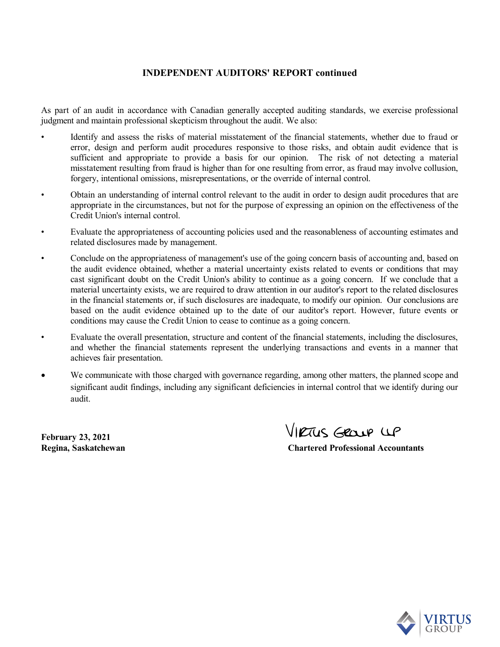## **INDEPENDENT AUDITORS' REPORT continued**

As part of an audit in accordance with Canadian generally accepted auditing standards, we exercise professional judgment and maintain professional skepticism throughout the audit. We also:

- Identify and assess the risks of material misstatement of the financial statements, whether due to fraud or error, design and perform audit procedures responsive to those risks, and obtain audit evidence that is sufficient and appropriate to provide a basis for our opinion. The risk of not detecting a material misstatement resulting from fraud is higher than for one resulting from error, as fraud may involve collusion, forgery, intentional omissions, misrepresentations, or the override of internal control.
- Obtain an understanding of internal control relevant to the audit in order to design audit procedures that are appropriate in the circumstances, but not for the purpose of expressing an opinion on the effectiveness of the Credit Union's internal control.
- Evaluate the appropriateness of accounting policies used and the reasonableness of accounting estimates and related disclosures made by management.
- Conclude on the appropriateness of management's use of the going concern basis of accounting and, based on the audit evidence obtained, whether a material uncertainty exists related to events or conditions that may cast significant doubt on the Credit Union's ability to continue as a going concern. If we conclude that a material uncertainty exists, we are required to draw attention in our auditor's report to the related disclosures in the financial statements or, if such disclosures are inadequate, to modify our opinion. Our conclusions are based on the audit evidence obtained up to the date of our auditor's report. However, future events or conditions may cause the Credit Union to cease to continue as a going concern.
- Evaluate the overall presentation, structure and content of the financial statements, including the disclosures, and whether the financial statements represent the underlying transactions and events in a manner that achieves fair presentation.
- We communicate with those charged with governance regarding, among other matters, the planned scope and significant audit findings, including any significant deficiencies in internal control that we identify during our audit.

**February 23, 2021**

VIRTUS GROUP UP

**Regina, Saskatchewan Chartered Professional Accountants**

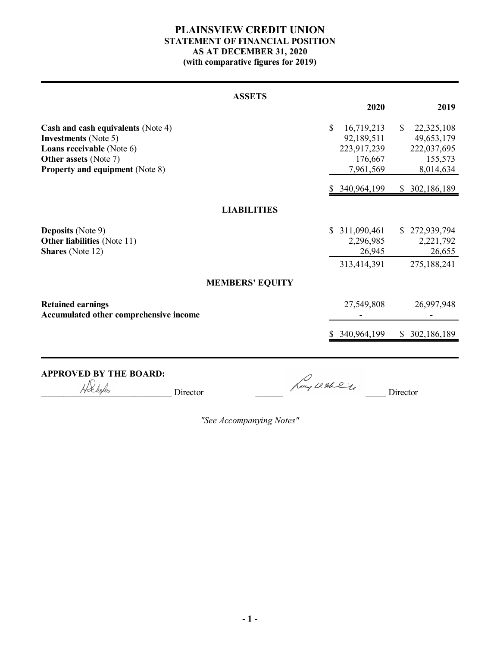## **PLAINSVIEW CREDIT UNION STATEMENT OF FINANCIAL POSITION AS AT DECEMBER 31, 2020 (with comparative figures for 2019)**

| <b>ASSETS</b>                                                                                                                                                                   |                                                                                |                                                                                 |
|---------------------------------------------------------------------------------------------------------------------------------------------------------------------------------|--------------------------------------------------------------------------------|---------------------------------------------------------------------------------|
|                                                                                                                                                                                 | 2020                                                                           | 2019                                                                            |
| Cash and cash equivalents (Note 4)<br><b>Investments</b> (Note 5)<br><b>Loans receivable</b> (Note 6)<br><b>Other assets (Note 7)</b><br><b>Property and equipment (Note 8)</b> | $\mathbf S$<br>16,719,213<br>92,189,511<br>223,917,239<br>176,667<br>7,961,569 | $\mathbb{S}$<br>22,325,108<br>49,653,179<br>222,037,695<br>155,573<br>8,014,634 |
|                                                                                                                                                                                 | 340,964,199                                                                    | \$ 302,186,189                                                                  |
| <b>LIABILITIES</b>                                                                                                                                                              |                                                                                |                                                                                 |
| <b>Deposits</b> (Note 9)<br><b>Other liabilities</b> (Note 11)<br><b>Shares</b> (Note 12)                                                                                       | 311,090,461<br>S.<br>2,296,985<br>26,945<br>313,414,391                        | \$272,939,794<br>2,221,792<br>26,655<br>275,188,241                             |
| <b>MEMBERS' EQUITY</b>                                                                                                                                                          |                                                                                |                                                                                 |
| <b>Retained earnings</b><br>Accumulated other comprehensive income                                                                                                              | 27,549,808                                                                     | 26,997,948                                                                      |
|                                                                                                                                                                                 | 340,964,199                                                                    | \$ 302,186,189                                                                  |
|                                                                                                                                                                                 |                                                                                |                                                                                 |

**APPROVED BY THE BOARD:**<br> $\sqrt{\frac{D}{2}}$ 

 $\Box$  Director  $\Box$  Director  $\Box$  Director  $\Box$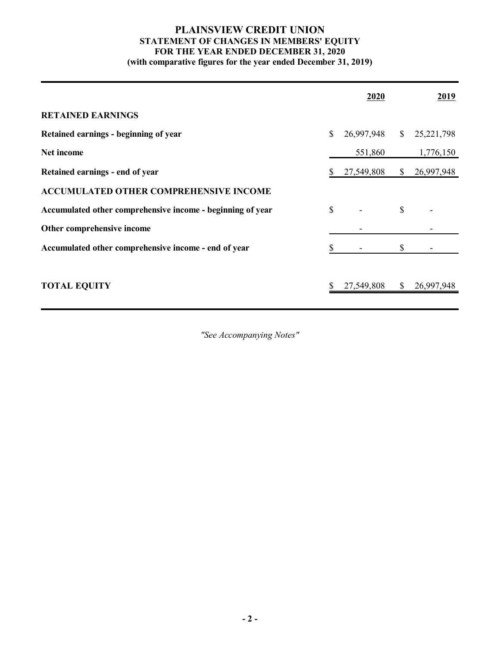# **PLAINSVIEW CREDIT UNION STATEMENT OF CHANGES IN MEMBERS' EQUITY FOR THE YEAR ENDED DECEMBER 31, 2020**

**(with comparative figures for the year ended December 31, 2019)**

|                                                            | 2020             |              | <u>2019</u>  |
|------------------------------------------------------------|------------------|--------------|--------------|
| <b>RETAINED EARNINGS</b>                                   |                  |              |              |
| Retained earnings - beginning of year                      | \$<br>26,997,948 | $\mathbb{S}$ | 25, 221, 798 |
| Net income                                                 | 551,860          |              | 1,776,150    |
| Retained earnings - end of year                            | 27,549,808       | \$           | 26,997,948   |
| <b>ACCUMULATED OTHER COMPREHENSIVE INCOME</b>              |                  |              |              |
| Accumulated other comprehensive income - beginning of year | \$               | \$           |              |
| Other comprehensive income                                 |                  |              |              |
| Accumulated other comprehensive income - end of year       |                  | \$           |              |
|                                                            |                  |              |              |
| <b>TOTAL EQUITY</b>                                        | 27,549,808       | <sup>S</sup> | 26,997,948   |
|                                                            |                  |              |              |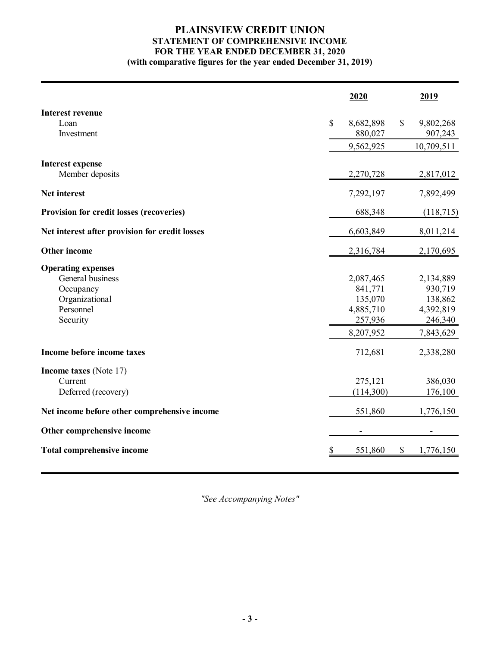# **PLAINSVIEW CREDIT UNION STATEMENT OF COMPREHENSIVE INCOME FOR THE YEAR ENDED DECEMBER 31, 2020**

**(with comparative figures for the year ended December 31, 2019)**

|                                                 | 2020            | 2019            |
|-------------------------------------------------|-----------------|-----------------|
| <b>Interest revenue</b>                         |                 |                 |
| Loan                                            | \$<br>8,682,898 | \$<br>9,802,268 |
| Investment                                      | 880,027         | 907,243         |
|                                                 | 9,562,925       | 10,709,511      |
| <b>Interest expense</b>                         |                 |                 |
| Member deposits                                 | 2,270,728       | 2,817,012       |
| Net interest                                    | 7,292,197       | 7,892,499       |
| <b>Provision for credit losses (recoveries)</b> | 688,348         | (118, 715)      |
| Net interest after provision for credit losses  | 6,603,849       | 8,011,214       |
| <b>Other income</b>                             | 2,316,784       | 2,170,695       |
| <b>Operating expenses</b>                       |                 |                 |
| General business                                | 2,087,465       | 2,134,889       |
| Occupancy                                       | 841,771         | 930,719         |
| Organizational                                  | 135,070         | 138,862         |
| Personnel                                       | 4,885,710       | 4,392,819       |
| Security                                        | 257,936         | 246,340         |
|                                                 | 8,207,952       | 7,843,629       |
| Income before income taxes                      | 712,681         | 2,338,280       |
| <b>Income taxes</b> (Note 17)                   |                 |                 |
| Current                                         | 275,121         | 386,030         |
| Deferred (recovery)                             | (114,300)       | 176,100         |
| Net income before other comprehensive income    | 551,860         | 1,776,150       |
| Other comprehensive income                      |                 |                 |
| <b>Total comprehensive income</b>               | \$<br>551,860   | \$<br>1,776,150 |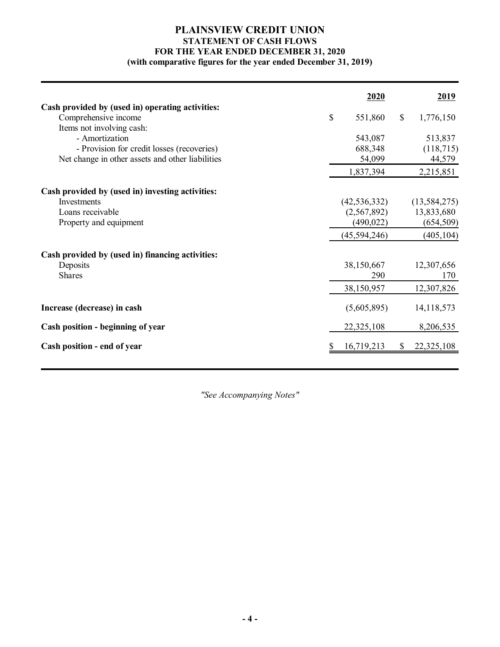# **PLAINSVIEW CREDIT UNION STATEMENT OF CASH FLOWS FOR THE YEAR ENDED DECEMBER 31, 2020**

# **(with comparative figures for the year ended December 31, 2019)**

|                                                                                                       | 2020              |              | 2019                 |
|-------------------------------------------------------------------------------------------------------|-------------------|--------------|----------------------|
| Cash provided by (used in) operating activities:<br>Comprehensive income<br>Items not involving cash: | \$<br>551,860     | $\mathbb{S}$ | 1,776,150            |
| - Amortization                                                                                        | 543,087           |              | 513,837              |
| - Provision for credit losses (recoveries)<br>Net change in other assets and other liabilities        | 688,348<br>54,099 |              | (118, 715)<br>44,579 |
|                                                                                                       | 1,837,394         |              | 2,215,851            |
| Cash provided by (used in) investing activities:                                                      |                   |              |                      |
| Investments                                                                                           | (42, 536, 332)    |              | (13, 584, 275)       |
| Loans receivable                                                                                      | (2,567,892)       |              | 13,833,680           |
| Property and equipment                                                                                | (490, 022)        |              | (654, 509)           |
|                                                                                                       | (45,594,246)      |              | (405, 104)           |
| Cash provided by (used in) financing activities:                                                      |                   |              |                      |
| Deposits<br><b>Shares</b>                                                                             | 38,150,667<br>290 |              | 12,307,656<br>170    |
|                                                                                                       | 38,150,957        |              | 12,307,826           |
| Increase (decrease) in cash                                                                           | (5,605,895)       |              | 14,118,573           |
| Cash position - beginning of year                                                                     | 22,325,108        |              | 8,206,535            |
| Cash position - end of year                                                                           | 16,719,213        | $\mathbb{S}$ | 22,325,108           |
|                                                                                                       |                   |              |                      |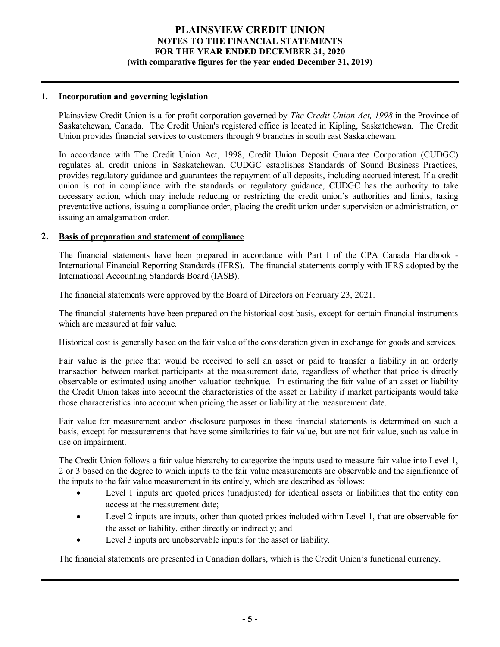## **1. Incorporation and governing legislation**

Plainsview Credit Union is a for profit corporation governed by *The Credit Union Act, 1998* in the Province of Saskatchewan, Canada. The Credit Union's registered office is located in Kipling, Saskatchewan. The Credit Union provides financial services to customers through 9 branches in south east Saskatchewan.

In accordance with The Credit Union Act, 1998, Credit Union Deposit Guarantee Corporation (CUDGC) regulates all credit unions in Saskatchewan. CUDGC establishes Standards of Sound Business Practices, provides regulatory guidance and guarantees the repayment of all deposits, including accrued interest. If a credit union is not in compliance with the standards or regulatory guidance, CUDGC has the authority to take necessary action, which may include reducing or restricting the credit union's authorities and limits, taking preventative actions, issuing a compliance order, placing the credit union under supervision or administration, or issuing an amalgamation order.

## **2. Basis of preparation and statement of compliance**

The financial statements have been prepared in accordance with Part I of the CPA Canada Handbook - International Financial Reporting Standards (IFRS). The financial statements comply with IFRS adopted by the International Accounting Standards Board (IASB).

The financial statements were approved by the Board of Directors on February 23, 2021.

The financial statements have been prepared on the historical cost basis, except for certain financial instruments which are measured at fair value.

Historical cost is generally based on the fair value of the consideration given in exchange for goods and services.

Fair value is the price that would be received to sell an asset or paid to transfer a liability in an orderly transaction between market participants at the measurement date, regardless of whether that price is directly observable or estimated using another valuation technique. In estimating the fair value of an asset or liability the Credit Union takes into account the characteristics of the asset or liability if market participants would take those characteristics into account when pricing the asset or liability at the measurement date.

Fair value for measurement and/or disclosure purposes in these financial statements is determined on such a basis, except for measurements that have some similarities to fair value, but are not fair value, such as value in use on impairment.

The Credit Union follows a fair value hierarchy to categorize the inputs used to measure fair value into Level 1, 2 or 3 based on the degree to which inputs to the fair value measurements are observable and the significance of the inputs to the fair value measurement in its entirely, which are described as follows:

- · Level 1 inputs are quoted prices (unadjusted) for identical assets or liabilities that the entity can access at the measurement date;
- · Level 2 inputs are inputs, other than quoted prices included within Level 1, that are observable for the asset or liability, either directly or indirectly; and
- · Level 3 inputs are unobservable inputs for the asset or liability.

The financial statements are presented in Canadian dollars, which is the Credit Union's functional currency.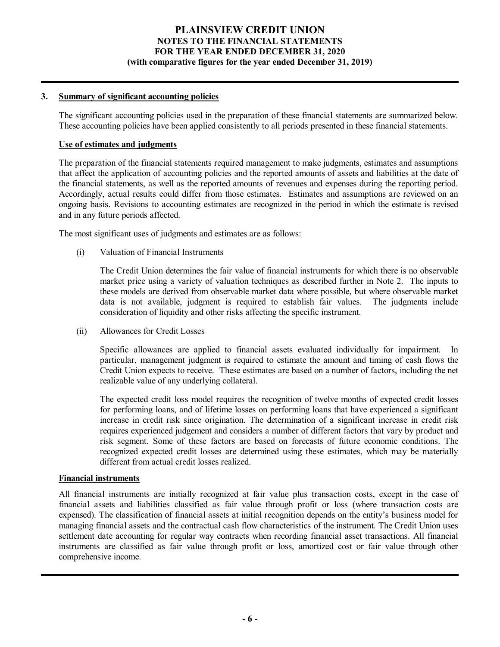## **3. Summary of significant accounting policies**

The significant accounting policies used in the preparation of these financial statements are summarized below. These accounting policies have been applied consistently to all periods presented in these financial statements.

## **Use of estimates and judgments**

The preparation of the financial statements required management to make judgments, estimates and assumptions that affect the application of accounting policies and the reported amounts of assets and liabilities at the date of the financial statements, as well as the reported amounts of revenues and expenses during the reporting period. Accordingly, actual results could differ from those estimates. Estimates and assumptions are reviewed on an ongoing basis. Revisions to accounting estimates are recognized in the period in which the estimate is revised and in any future periods affected.

The most significant uses of judgments and estimates are as follows:

(i) Valuation of Financial Instruments

The Credit Union determines the fair value of financial instruments for which there is no observable market price using a variety of valuation techniques as described further in Note 2. The inputs to these models are derived from observable market data where possible, but where observable market data is not available, judgment is required to establish fair values. The judgments include consideration of liquidity and other risks affecting the specific instrument.

(ii) Allowances for Credit Losses

Specific allowances are applied to financial assets evaluated individually for impairment. In particular, management judgment is required to estimate the amount and timing of cash flows the Credit Union expects to receive. These estimates are based on a number of factors, including the net realizable value of any underlying collateral.

The expected credit loss model requires the recognition of twelve months of expected credit losses for performing loans, and of lifetime losses on performing loans that have experienced a significant increase in credit risk since origination. The determination of a significant increase in credit risk requires experienced judgement and considers a number of different factors that vary by product and risk segment. Some of these factors are based on forecasts of future economic conditions. The recognized expected credit losses are determined using these estimates, which may be materially different from actual credit losses realized.

## **Financial instruments**

All financial instruments are initially recognized at fair value plus transaction costs, except in the case of financial assets and liabilities classified as fair value through profit or loss (where transaction costs are expensed). The classification of financial assets at initial recognition depends on the entity's business model for managing financial assets and the contractual cash flow characteristics of the instrument. The Credit Union uses settlement date accounting for regular way contracts when recording financial asset transactions. All financial instruments are classified as fair value through profit or loss, amortized cost or fair value through other comprehensive income.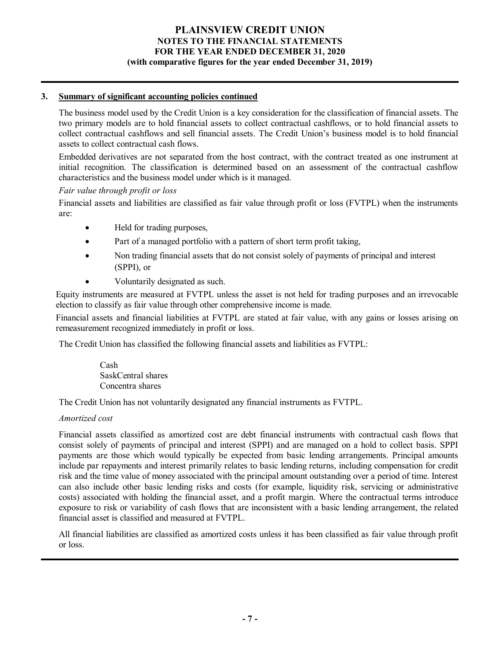## **3. Summary of significant accounting policies continued**

The business model used by the Credit Union is a key consideration for the classification of financial assets. The two primary models are to hold financial assets to collect contractual cashflows, or to hold financial assets to collect contractual cashflows and sell financial assets. The Credit Union's business model is to hold financial assets to collect contractual cash flows.

Embedded derivatives are not separated from the host contract, with the contract treated as one instrument at initial recognition. The classification is determined based on an assessment of the contractual cashflow characteristics and the business model under which is it managed.

## *Fair value through profit or loss*

Financial assets and liabilities are classified as fair value through profit or loss (FVTPL) when the instruments are:

- · Held for trading purposes,
- Part of a managed portfolio with a pattern of short term profit taking,
- · Non trading financial assets that do not consist solely of payments of principal and interest (SPPI), or
- Voluntarily designated as such.

Equity instruments are measured at FVTPL unless the asset is not held for trading purposes and an irrevocable election to classify as fair value through other comprehensive income is made.

Financial assets and financial liabilities at FVTPL are stated at fair value, with any gains or losses arising on remeasurement recognized immediately in profit or loss.

The Credit Union has classified the following financial assets and liabilities as FVTPL:

Cash SaskCentral shares Concentra shares

The Credit Union has not voluntarily designated any financial instruments as FVTPL.

## *Amortized cost*

Financial assets classified as amortized cost are debt financial instruments with contractual cash flows that consist solely of payments of principal and interest (SPPI) and are managed on a hold to collect basis. SPPI payments are those which would typically be expected from basic lending arrangements. Principal amounts include par repayments and interest primarily relates to basic lending returns, including compensation for credit risk and the time value of money associated with the principal amount outstanding over a period of time. Interest can also include other basic lending risks and costs (for example, liquidity risk, servicing or administrative costs) associated with holding the financial asset, and a profit margin. Where the contractual terms introduce exposure to risk or variability of cash flows that are inconsistent with a basic lending arrangement, the related financial asset is classified and measured at FVTPL.

All financial liabilities are classified as amortized costs unless it has been classified as fair value through profit or loss.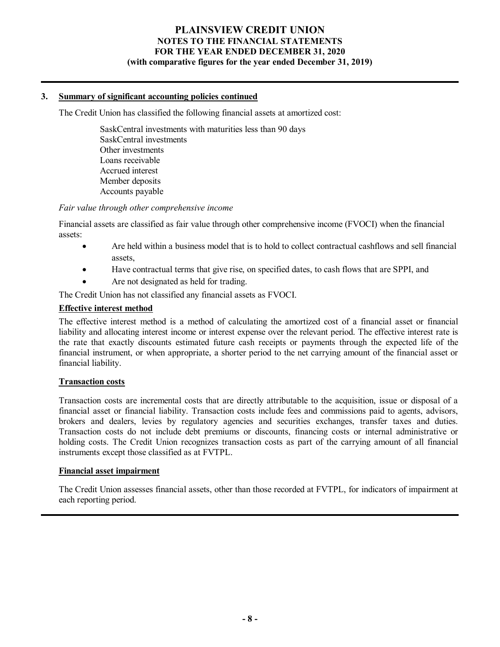## **3. Summary of significant accounting policies continued**

The Credit Union has classified the following financial assets at amortized cost:

SaskCentral investments with maturities less than 90 days SaskCentral investments Other investments Loans receivable Accrued interest Member deposits Accounts payable

*Fair value through other comprehensive income*

Financial assets are classified as fair value through other comprehensive income (FVOCI) when the financial assets:

- · Are held within a business model that is to hold to collect contractual cashflows and sell financial assets,
- Have contractual terms that give rise, on specified dates, to cash flows that are SPPI, and
- Are not designated as held for trading.

The Credit Union has not classified any financial assets as FVOCI.

## **Effective interest method**

The effective interest method is a method of calculating the amortized cost of a financial asset or financial liability and allocating interest income or interest expense over the relevant period. The effective interest rate is the rate that exactly discounts estimated future cash receipts or payments through the expected life of the financial instrument, or when appropriate, a shorter period to the net carrying amount of the financial asset or financial liability.

## **Transaction costs**

Transaction costs are incremental costs that are directly attributable to the acquisition, issue or disposal of a financial asset or financial liability. Transaction costs include fees and commissions paid to agents, advisors, brokers and dealers, levies by regulatory agencies and securities exchanges, transfer taxes and duties. Transaction costs do not include debt premiums or discounts, financing costs or internal administrative or holding costs. The Credit Union recognizes transaction costs as part of the carrying amount of all financial instruments except those classified as at FVTPL.

#### **Financial asset impairment**

The Credit Union assesses financial assets, other than those recorded at FVTPL, for indicators of impairment at each reporting period.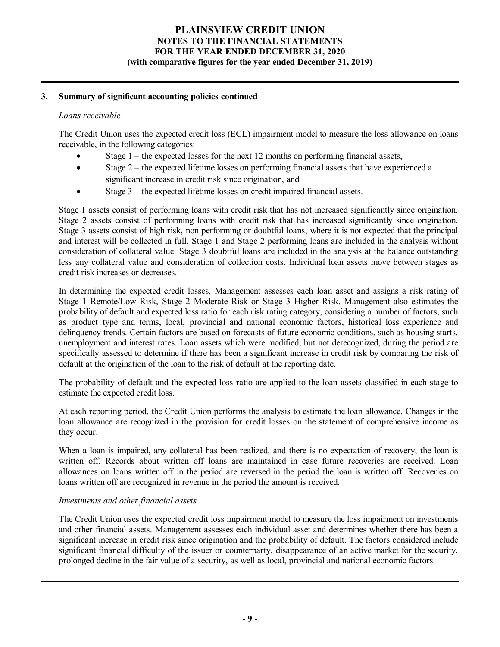## **3. Summary of significant accounting policies continued**

#### *Loans receivable*

The Credit Union uses the expected credit loss (ECL) impairment model to measure the loss allowance on loans receivable, in the following categories:

- Stage  $1$  the expected losses for the next 12 months on performing financial assets,
- Stage  $2$  the expected lifetime losses on performing financial assets that have experienced a significant increase in credit risk since origination, and
- · Stage 3 the expected lifetime losses on credit impaired financial assets.

Stage 1 assets consist of performing loans with credit risk that has not increased significantly since origination. Stage 2 assets consist of performing loans with credit risk that has increased significantly since origination. Stage 3 assets consist of high risk, non performing or doubtful loans, where it is not expected that the principal and interest will be collected in full. Stage 1 and Stage 2 performing loans are included in the analysis without consideration of collateral value. Stage 3 doubtful loans are included in the analysis at the balance outstanding less any collateral value and consideration of collection costs. Individual loan assets move between stages as credit risk increases or decreases.

In determining the expected credit losses, Management assesses each loan asset and assigns a risk rating of Stage 1 Remote/Low Risk, Stage 2 Moderate Risk or Stage 3 Higher Risk. Management also estimates the probability of default and expected loss ratio for each risk rating category, considering a number of factors, such as product type and terms, local, provincial and national economic factors, historical loss experience and delinquency trends. Certain factors are based on forecasts of future economic conditions, such as housing starts, unemployment and interest rates. Loan assets which were modified, but not derecognized, during the period are specifically assessed to determine if there has been a significant increase in credit risk by comparing the risk of default at the origination of the loan to the risk of default at the reporting date.

The probability of default and the expected loss ratio are applied to the loan assets classified in each stage to estimate the expected credit loss.

At each reporting period, the Credit Union performs the analysis to estimate the loan allowance. Changes in the loan allowance are recognized in the provision for credit losses on the statement of comprehensive income as they occur.

When a loan is impaired, any collateral has been realized, and there is no expectation of recovery, the loan is written off. Records about written off loans are maintained in case future recoveries are received. Loan allowances on loans written off in the period are reversed in the period the loan is written off. Recoveries on loans written off are recognized in revenue in the period the amount is received.

## *Investments and other financial assets*

The Credit Union uses the expected credit loss impairment model to measure the loss impairment on investments and other financial assets. Management assesses each individual asset and determines whether there has been a significant increase in credit risk since origination and the probability of default. The factors considered include significant financial difficulty of the issuer or counterparty, disappearance of an active market for the security, prolonged decline in the fair value of a security, as well as local, provincial and national economic factors.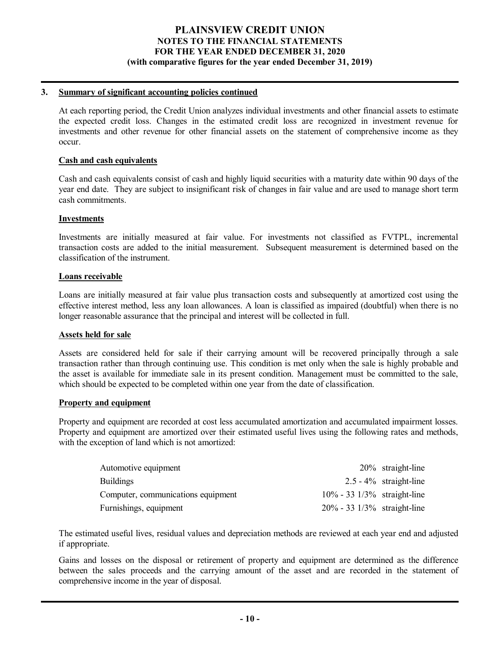## **3. Summary of significant accounting policies continued**

At each reporting period, the Credit Union analyzes individual investments and other financial assets to estimate the expected credit loss. Changes in the estimated credit loss are recognized in investment revenue for investments and other revenue for other financial assets on the statement of comprehensive income as they occur.

#### **Cash and cash equivalents**

Cash and cash equivalents consist of cash and highly liquid securities with a maturity date within 90 days of the year end date. They are subject to insignificant risk of changes in fair value and are used to manage short term cash commitments.

## **Investments**

Investments are initially measured at fair value. For investments not classified as FVTPL, incremental transaction costs are added to the initial measurement. Subsequent measurement is determined based on the classification of the instrument.

## **Loans receivable**

Loans are initially measured at fair value plus transaction costs and subsequently at amortized cost using the effective interest method, less any loan allowances. A loan is classified as impaired (doubtful) when there is no longer reasonable assurance that the principal and interest will be collected in full.

#### **Assets held for sale**

Assets are considered held for sale if their carrying amount will be recovered principally through a sale transaction rather than through continuing use. This condition is met only when the sale is highly probable and the asset is available for immediate sale in its present condition. Management must be committed to the sale, which should be expected to be completed within one year from the date of classification.

#### **Property and equipment**

Property and equipment are recorded at cost less accumulated amortization and accumulated impairment losses. Property and equipment are amortized over their estimated useful lives using the following rates and methods, with the exception of land which is not amortized:

| Automotive equipment               |                                        | $20\%$ straight-line      |
|------------------------------------|----------------------------------------|---------------------------|
| <b>Buildings</b>                   |                                        | $2.5 - 4\%$ straight-line |
| Computer, communications equipment | $10\% - 33\frac{1}{3\%}$ straight-line |                           |
| Furnishings, equipment             | $20\% - 33\frac{1}{3}\%$ straight-line |                           |

The estimated useful lives, residual values and depreciation methods are reviewed at each year end and adjusted if appropriate.

Gains and losses on the disposal or retirement of property and equipment are determined as the difference between the sales proceeds and the carrying amount of the asset and are recorded in the statement of comprehensive income in the year of disposal.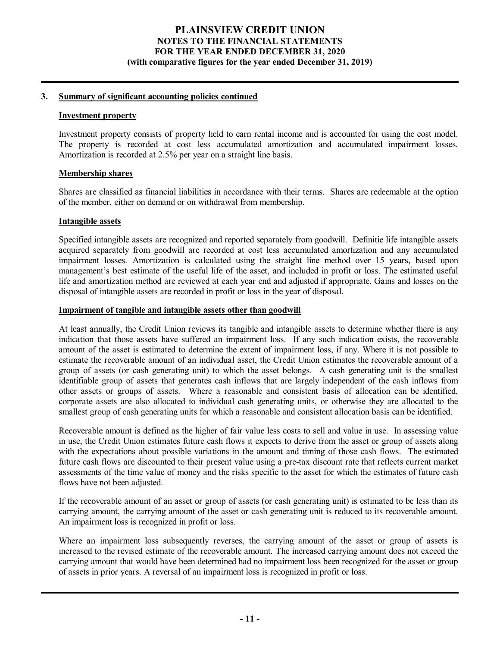## **3. Summary of significant accounting policies continued**

#### **Investment property**

Investment property consists of property held to earn rental income and is accounted for using the cost model. The property is recorded at cost less accumulated amortization and accumulated impairment losses. Amortization is recorded at 2.5% per year on a straight line basis.

## **Membership shares**

Shares are classified as financial liabilities in accordance with their terms. Shares are redeemable at the option of the member, either on demand or on withdrawal from membership.

## **Intangible assets**

Specified intangible assets are recognized and reported separately from goodwill. Definitie life intangible assets acquired separately from goodwill are recorded at cost less accumulated amortization and any accumulated impairment losses. Amortization is calculated using the straight line method over 15 years, based upon management's best estimate of the useful life of the asset, and included in profit or loss. The estimated useful life and amortization method are reviewed at each year end and adjusted if appropriate. Gains and losses on the disposal of intangible assets are recorded in profit or loss in the year of disposal.

## **Impairment of tangible and intangible assets other than goodwill**

At least annually, the Credit Union reviews its tangible and intangible assets to determine whether there is any indication that those assets have suffered an impairment loss. If any such indication exists, the recoverable amount of the asset is estimated to determine the extent of impairment loss, if any. Where it is not possible to estimate the recoverable amount of an individual asset, the Credit Union estimates the recoverable amount of a group of assets (or cash generating unit) to which the asset belongs. A cash generating unit is the smallest identifiable group of assets that generates cash inflows that are largely independent of the cash inflows from other assets or groups of assets. Where a reasonable and consistent basis of allocation can be identified, corporate assets are also allocated to individual cash generating units, or otherwise they are allocated to the smallest group of cash generating units for which a reasonable and consistent allocation basis can be identified.

Recoverable amount is defined as the higher of fair value less costs to sell and value in use. In assessing value in use, the Credit Union estimates future cash flows it expects to derive from the asset or group of assets along with the expectations about possible variations in the amount and timing of those cash flows. The estimated future cash flows are discounted to their present value using a pre-tax discount rate that reflects current market assessments of the time value of money and the risks specific to the asset for which the estimates of future cash flows have not been adjusted.

If the recoverable amount of an asset or group of assets (or cash generating unit) is estimated to be less than its carrying amount, the carrying amount of the asset or cash generating unit is reduced to its recoverable amount. An impairment loss is recognized in profit or loss.

Where an impairment loss subsequently reverses, the carrying amount of the asset or group of assets is increased to the revised estimate of the recoverable amount. The increased carrying amount does not exceed the carrying amount that would have been determined had no impairment loss been recognized for the asset or group of assets in prior years. A reversal of an impairment loss is recognized in profit or loss.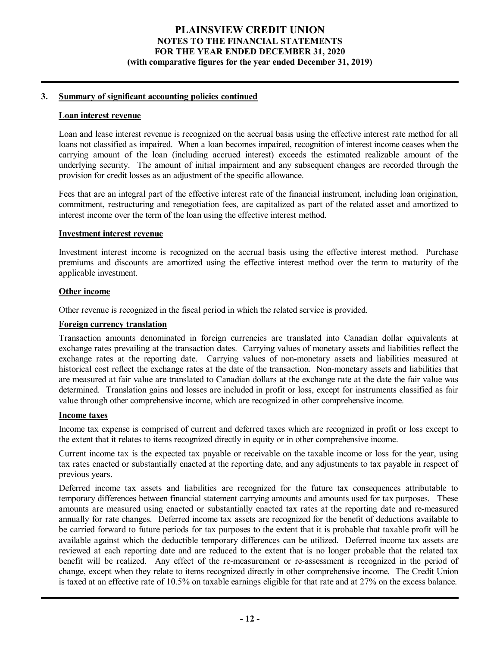## **3. Summary of significant accounting policies continued**

#### **Loan interest revenue**

Loan and lease interest revenue is recognized on the accrual basis using the effective interest rate method for all loans not classified as impaired. When a loan becomes impaired, recognition of interest income ceases when the carrying amount of the loan (including accrued interest) exceeds the estimated realizable amount of the underlying security. The amount of initial impairment and any subsequent changes are recorded through the provision for credit losses as an adjustment of the specific allowance.

Fees that are an integral part of the effective interest rate of the financial instrument, including loan origination, commitment, restructuring and renegotiation fees, are capitalized as part of the related asset and amortized to interest income over the term of the loan using the effective interest method.

## **Investment interest revenue**

Investment interest income is recognized on the accrual basis using the effective interest method. Purchase premiums and discounts are amortized using the effective interest method over the term to maturity of the applicable investment.

## **Other income**

Other revenue is recognized in the fiscal period in which the related service is provided.

#### **Foreign currency translation**

Transaction amounts denominated in foreign currencies are translated into Canadian dollar equivalents at exchange rates prevailing at the transaction dates. Carrying values of monetary assets and liabilities reflect the exchange rates at the reporting date. Carrying values of non-monetary assets and liabilities measured at historical cost reflect the exchange rates at the date of the transaction. Non-monetary assets and liabilities that are measured at fair value are translated to Canadian dollars at the exchange rate at the date the fair value was determined. Translation gains and losses are included in profit or loss, except for instruments classified as fair value through other comprehensive income, which are recognized in other comprehensive income.

#### **Income taxes**

Income tax expense is comprised of current and deferred taxes which are recognized in profit or loss except to the extent that it relates to items recognized directly in equity or in other comprehensive income.

Current income tax is the expected tax payable or receivable on the taxable income or loss for the year, using tax rates enacted or substantially enacted at the reporting date, and any adjustments to tax payable in respect of previous years.

Deferred income tax assets and liabilities are recognized for the future tax consequences attributable to temporary differences between financial statement carrying amounts and amounts used for tax purposes. These amounts are measured using enacted or substantially enacted tax rates at the reporting date and re-measured annually for rate changes. Deferred income tax assets are recognized for the benefit of deductions available to be carried forward to future periods for tax purposes to the extent that it is probable that taxable profit will be available against which the deductible temporary differences can be utilized. Deferred income tax assets are reviewed at each reporting date and are reduced to the extent that is no longer probable that the related tax benefit will be realized. Any effect of the re-measurement or re-assessment is recognized in the period of change, except when they relate to items recognized directly in other comprehensive income. The Credit Union is taxed at an effective rate of 10.5% on taxable earnings eligible for that rate and at 27% on the excess balance.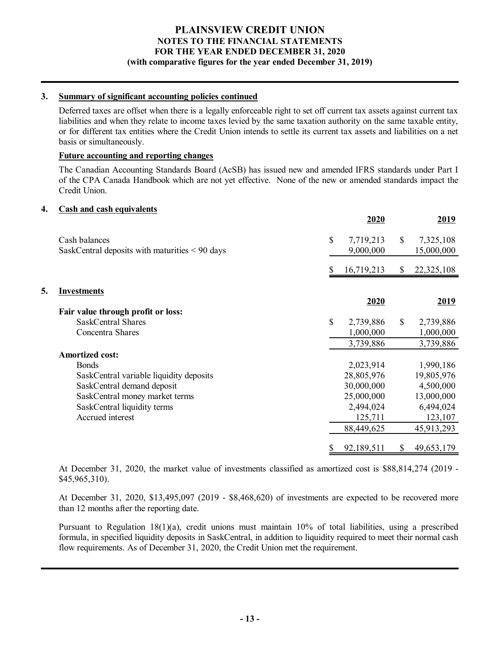## **3. Summary of significant accounting policies continued**

Deferred taxes are offset when there is a legally enforceable right to set off current tax assets against current tax liabilities and when they relate to income taxes levied by the same taxation authority on the same taxable entity, or for different tax entities where the Credit Union intends to settle its current tax assets and liabilities on a net basis or simultaneously.

## **Future accounting and reporting changes**

The Canadian Accounting Standards Board (AcSB) has issued new and amended IFRS standards under Part I of the CPA Canada Handbook which are not yet effective. None of the new or amended standards impact the Credit Union.

## **4. Cash and cash equivalents**

|    |                                                  | 2020            |               | 2019       |
|----|--------------------------------------------------|-----------------|---------------|------------|
|    | Cash balances                                    | \$<br>7,719,213 | \$            | 7,325,108  |
|    | SaskCentral deposits with maturities $< 90$ days | 9,000,000       |               | 15,000,000 |
|    |                                                  | 16,719,213      | \$            | 22,325,108 |
| 5. | <b>Investments</b>                               |                 |               |            |
|    |                                                  | 2020            |               | 2019       |
|    | Fair value through profit or loss:               |                 |               |            |
|    | <b>SaskCentral Shares</b>                        | \$<br>2,739,886 | $\mathcal{S}$ | 2,739,886  |
|    | Concentra Shares                                 | 1,000,000       |               | 1,000,000  |
|    |                                                  | 3,739,886       |               | 3,739,886  |
|    | <b>Amortized cost:</b>                           |                 |               |            |
|    | <b>Bonds</b>                                     | 2,023,914       |               | 1,990,186  |
|    | SaskCentral variable liquidity deposits          | 28,805,976      |               | 19,805,976 |
|    | SaskCentral demand deposit                       | 30,000,000      |               | 4,500,000  |
|    | SaskCentral money market terms                   | 25,000,000      |               | 13,000,000 |
|    | SaskCentral liquidity terms                      | 2,494,024       |               | 6,494,024  |
|    | Accrued interest                                 | 125,711         |               | 123,107    |
|    |                                                  | 88,449,625      |               | 45,913,293 |
|    |                                                  |                 |               |            |
|    |                                                  | 92,189,511      | \$            | 49,653,179 |

At December 31, 2020, the market value of investments classified as amortized cost is \$88,814,274 (2019 - \$45,965,310).

At December 31, 2020, \$13,495,097 (2019 - \$8,468,620) of investments are expected to be recovered more than 12 months after the reporting date.

Pursuant to Regulation 18(1)(a), credit unions must maintain 10% of total liabilities, using a prescribed formula, in specified liquidity deposits in SaskCentral, in addition to liquidity required to meet their normal cash flow requirements. As of December 31, 2020, the Credit Union met the requirement.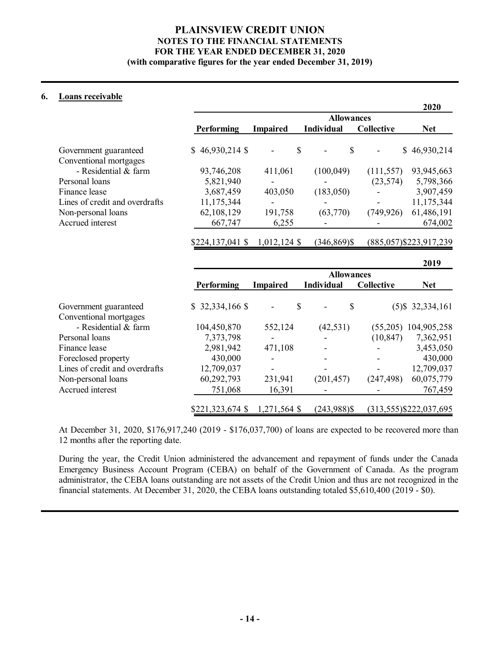## **6. Loans receivable**

|                                |                   |                   |                   |                   | 2020                    |  |  |  |  |  |  |
|--------------------------------|-------------------|-------------------|-------------------|-------------------|-------------------------|--|--|--|--|--|--|
|                                |                   | <b>Allowances</b> |                   |                   |                         |  |  |  |  |  |  |
|                                | <b>Performing</b> | <b>Impaired</b>   | <b>Individual</b> | <b>Collective</b> | <b>Net</b>              |  |  |  |  |  |  |
| Government guaranteed          | $$46,930,214$ \$  | \$                | \$                |                   | \$46,930,214            |  |  |  |  |  |  |
| Conventional mortgages         |                   |                   |                   |                   |                         |  |  |  |  |  |  |
| - Residential & farm           | 93,746,208        | 411,061           | (100, 049)        | (111, 557)        | 93,945,663              |  |  |  |  |  |  |
| Personal loans                 | 5,821,940         |                   |                   | (23,574)          | 5,798,366               |  |  |  |  |  |  |
| Finance lease                  | 3,687,459         | 403,050           | (183,050)         |                   | 3,907,459               |  |  |  |  |  |  |
| Lines of credit and overdrafts | 11,175,344        |                   |                   |                   | 11,175,344              |  |  |  |  |  |  |
| Non-personal loans             | 62,108,129        | 191,758           | (63,770)          | (749, 926)        | 61,486,191              |  |  |  |  |  |  |
| Accrued interest               | 667,747           | 6,255             |                   |                   | 674,002                 |  |  |  |  |  |  |
|                                | $$224,137,041$ \$ | $1,012,124$ \$    | $(346, 869)$ \$   |                   | (885,057) \$223,917,239 |  |  |  |  |  |  |
|                                |                   |                   |                   |                   | 2019                    |  |  |  |  |  |  |
|                                |                   | <b>Allowances</b> |                   |                   |                         |  |  |  |  |  |  |
|                                | <b>Performing</b> | <b>Impaired</b>   | <b>Individual</b> | <b>Collective</b> | <b>Net</b>              |  |  |  |  |  |  |

| Government guaranteed          | $$32,334,166$ \$ | \$<br>$\overline{\phantom{a}}$ | S<br>$\qquad \qquad \blacksquare$ |                          | $(5)$ \$ 32,334,161       |
|--------------------------------|------------------|--------------------------------|-----------------------------------|--------------------------|---------------------------|
| Conventional mortgages         |                  |                                |                                   |                          |                           |
| - Residential & farm           | 104,450,870      | 552,124                        | (42, 531)                         | (55,205)                 | 104,905,258               |
| Personal loans                 | 7,373,798        | $\overline{\phantom{a}}$       | -                                 | (10, 847)                | 7,362,951                 |
| Finance lease                  | 2,981,942        | 471,108                        | -                                 | $\overline{\phantom{a}}$ | 3,453,050                 |
| Foreclosed property            | 430,000          |                                |                                   |                          | 430,000                   |
| Lines of credit and overdrafts | 12,709,037       | $\overline{\phantom{a}}$       | -                                 | $\overline{\phantom{a}}$ | 12,709,037                |
| Non-personal loans             | 60,292,793       | 231,941                        | (201, 457)                        | (247, 498)               | 60,075,779                |
| Accrued interest               | 751,068          | 16,391                         |                                   |                          | 767,459                   |
|                                | \$221,323,674 \$ | $1,271,564$ \$                 | $(243,988)$ \$                    |                          | $(313,555)$ \$222,037,695 |

At December 31, 2020, \$176,917,240 (2019 - \$176,037,700) of loans are expected to be recovered more than 12 months after the reporting date.

During the year, the Credit Union administered the advancement and repayment of funds under the Canada Emergency Business Account Program (CEBA) on behalf of the Government of Canada. As the program administrator, the CEBA loans outstanding are not assets of the Credit Union and thus are not recognized in the financial statements. At December 31, 2020, the CEBA loans outstanding totaled \$5,610,400 (2019 - \$0).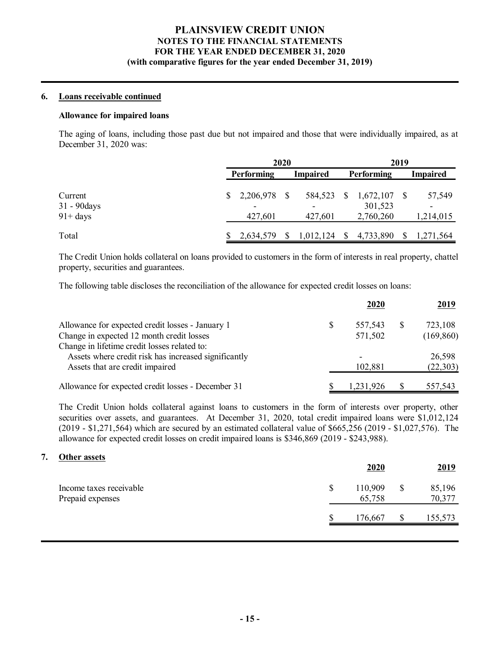## **6. Loans receivable continued**

## **Allowance for impaired loans**

The aging of loans, including those past due but not impaired and those that were individually impaired, as at December 31, 2020 was:

|                                        | 2020                    |  | 2019               |               |                                   |  |                     |
|----------------------------------------|-------------------------|--|--------------------|---------------|-----------------------------------|--|---------------------|
|                                        | Performing              |  | <b>Impaired</b>    |               | Performing                        |  | <b>Impaired</b>     |
| Current<br>31 - 90 days<br>$91 + days$ | 2,206,978 \$<br>427,601 |  | 584,523<br>427,601 | <sup>\$</sup> | 1,672,107<br>301,523<br>2,760,260 |  | 57,549<br>1,214,015 |
| Total                                  | 2,634,579               |  | 1,012,124          | -S            | 4,733,890                         |  | 1,271,564           |

The Credit Union holds collateral on loans provided to customers in the form of interests in real property, chattel property, securities and guarantees.

The following table discloses the reconciliation of the allowance for expected credit losses on loans:

|                                                      |   | 2020      |   | <u>2019</u> |
|------------------------------------------------------|---|-----------|---|-------------|
| Allowance for expected credit losses - January 1     | S | 557,543   | S | 723,108     |
| Change in expected 12 month credit losses            |   | 571,502   |   | (169, 860)  |
| Change in lifetime credit losses related to:         |   |           |   |             |
| Assets where credit risk has increased significantly |   | ۰         |   | 26,598      |
| Assets that are credit impaired                      |   | 102,881   |   | (22, 303)   |
| Allowance for expected credit losses - December 31   |   | 1,231,926 |   | 557,543     |

The Credit Union holds collateral against loans to customers in the form of interests over property, other securities over assets, and guarantees. At December 31, 2020, total credit impaired loans were \$1,012,124 (2019 - \$1,271,564) which are secured by an estimated collateral value of  $$665,256$  (2019 - \$1,027,576). The allowance for expected credit losses on credit impaired loans is \$346,869 (2019 - \$243,988).

#### **7. Other assets**

|                                             |   | 2020              | 2019                   |
|---------------------------------------------|---|-------------------|------------------------|
| Income taxes receivable<br>Prepaid expenses | S | 110,909<br>65,758 | \$<br>85,196<br>70,377 |
|                                             |   | 176,667           | 155,573                |
|                                             |   |                   |                        |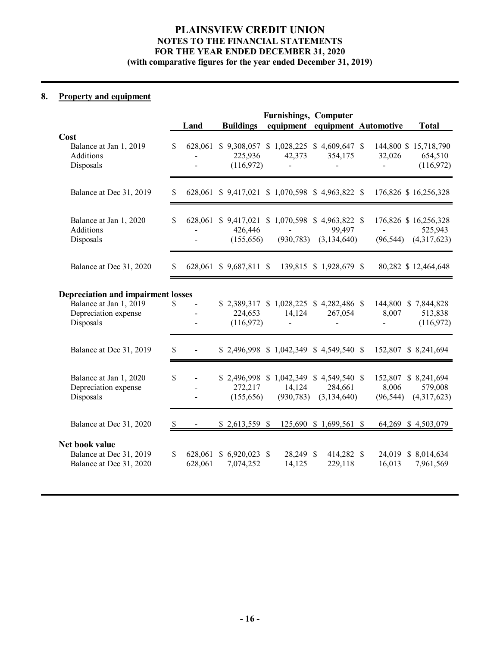# **8. Property and equipment**

|                                                                                                          |              |                                                    |                               | <b>Furnishings, Computer</b>                                       |                                           |                                                             |                                                             |
|----------------------------------------------------------------------------------------------------------|--------------|----------------------------------------------------|-------------------------------|--------------------------------------------------------------------|-------------------------------------------|-------------------------------------------------------------|-------------------------------------------------------------|
|                                                                                                          |              | Land                                               | <b>Buildings</b>              | equipment equipment Automotive                                     |                                           |                                                             | <b>Total</b>                                                |
| Cost<br>Balance at Jan 1, 2019<br><b>Additions</b><br>Disposals                                          | $\mathbb{S}$ |                                                    | 225,936<br>(116,972)          | 628,061 \$9,308,057 \$1,028,225 \$4,609,647 \$<br>42,373<br>$\sim$ | 354,175<br>$\blacksquare$                 | 32,026<br>$\frac{1}{2}$ and $\frac{1}{2}$ and $\frac{1}{2}$ | 144,800 \$ 15,718,790<br>654,510<br>(116,972)               |
| Balance at Dec 31, 2019                                                                                  | \$           |                                                    |                               | 628,061 \$9,417,021 \$1,070,598 \$4,963,822 \$                     |                                           |                                                             | 176,826 \$16,256,328                                        |
| Balance at Jan 1, 2020<br><b>Additions</b><br>Disposals                                                  | $\mathbb{S}$ | $\overline{\phantom{a}}$                           | 426,446<br>(155,656)          | 628,061 \$ 9,417,021 \$ 1,070,598<br>$\blacksquare$<br>(930, 783)  | $$4,963,822$ \\$<br>99,497<br>(3,134,640) | $\sim$                                                      | 176,826 \$16,256,328<br>525,943<br>$(96,544)$ $(4,317,623)$ |
| Balance at Dec 31, 2020                                                                                  | S            |                                                    | 628,061 \$9,687,811 \$        |                                                                    | 139,815 \$ 1,928,679 \$                   |                                                             | 80,282 \$12,464,648                                         |
|                                                                                                          |              |                                                    |                               |                                                                    |                                           |                                                             |                                                             |
| <b>Depreciation and impairment losses</b><br>Balance at Jan 1, 2019<br>Depreciation expense<br>Disposals | $\mathbb{S}$ | $\overline{a}$<br>$\blacksquare$<br>$\overline{a}$ | 224,653<br>(116,972)          | \$2,389,317 \$1,028,225 \$4,282,486 \$<br>14,124<br>$\blacksquare$ | 267,054<br>$\blacksquare$                 | 8,007<br>$\omega_{\rm{max}}$                                | 144,800 \$7,844,828<br>513,838<br>(116,972)                 |
| Balance at Dec 31, 2019                                                                                  | \$           | $\sim 100$                                         |                               | $$2,496,998 \$1,042,349 \$4,549,540 \$$                            |                                           |                                                             | 152,807 \$ 8,241,694                                        |
| Balance at Jan 1, 2020<br>Depreciation expense<br>Disposals                                              | \$           | $\blacksquare$<br>$\blacksquare$                   | 272,217<br>(155,656)          | \$ 2,496,998 \$ 1,042,349 \$ 4,549,540 \$<br>14,124<br>(930, 783)  | 284,661<br>(3, 134, 640)                  | 8,006<br>(96, 544)                                          | 152,807 \$ 8,241,694<br>579,008<br>(4,317,623)              |
| Balance at Dec 31, 2020                                                                                  | \$           |                                                    | $$2,613,559$ \\$              |                                                                    | 125,690 \$ 1,699,561 \$                   |                                                             | 64,269 \$4,503,079                                          |
| Net book value<br>Balance at Dec 31, 2019<br>Balance at Dec 31, 2020                                     | \$           | 628,061<br>628,061                                 | $$6,920,023$ \\$<br>7,074,252 | 28,249 \$<br>14,125                                                | 414,282 \$<br>229,118                     | 16,013                                                      | 24,019 \$ 8,014,634<br>7,961,569                            |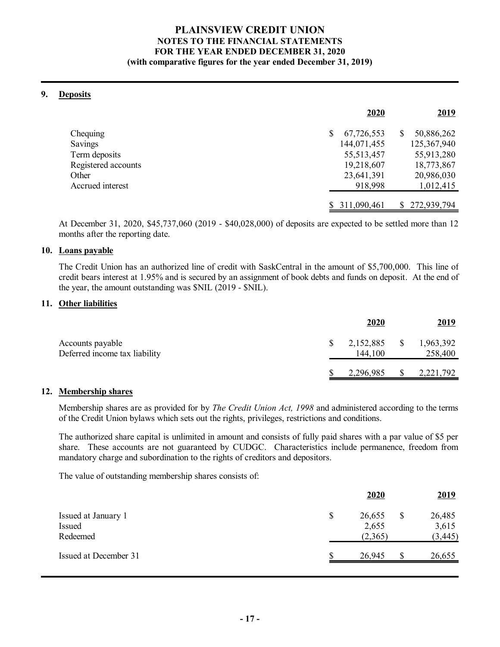# **PLAINSVIEW CREDIT UNION NOTES TO THE FINANCIAL STATEMENTS FOR THE YEAR ENDED DECEMBER 31, 2020**

## **(with comparative figures for the year ended December 31, 2019)**

## **9. Deposits**

|                     | 2020             |   | <u>2019</u>   |
|---------------------|------------------|---|---------------|
| Chequing            | \$<br>67,726,553 | S | 50,886,262    |
| Savings             | 144,071,455      |   | 125,367,940   |
| Term deposits       | 55, 513, 457     |   | 55,913,280    |
| Registered accounts | 19,218,607       |   | 18,773,867    |
| Other               | 23,641,391       |   | 20,986,030    |
| Accrued interest    | 918,998          |   | 1,012,415     |
|                     |                  |   |               |
|                     | 311,090,461      |   | \$272,939,794 |

At December 31, 2020, \$45,737,060 (2019 - \$40,028,000) of deposits are expected to be settled more than 12 months after the reporting date.

## **10. Loans payable**

The Credit Union has an authorized line of credit with SaskCentral in the amount of \$5,700,000. This line of credit bears interest at 1.95% and is secured by an assignment of book debts and funds on deposit. At the end of the year, the amount outstanding was \$NIL (2019 - \$NIL).

## **11. Other liabilities**

|                                                   | 2020                 |          | <u>2019</u>          |
|---------------------------------------------------|----------------------|----------|----------------------|
| Accounts payable<br>Deferred income tax liability | 2,152,885<br>144,100 | <b>S</b> | 1,963,392<br>258,400 |
|                                                   | 2,296,985            |          | 2,221,792            |

## **12. Membership shares**

Membership shares are as provided for by *The Credit Union Act, 1998* and administered according to the terms of the Credit Union bylaws which sets out the rights, privileges, restrictions and conditions.

The authorized share capital is unlimited in amount and consists of fully paid shares with a par value of \$5 per share. These accounts are not guaranteed by CUDGC. Characteristics include permanence, freedom from mandatory charge and subordination to the rights of creditors and depositors.

The value of outstanding membership shares consists of:

|                       | <b>2020</b>  | <u>2019</u>  |
|-----------------------|--------------|--------------|
| Issued at January 1   | \$<br>26,655 | \$<br>26,485 |
| Issued                | 2,655        | 3,615        |
| Redeemed              | (2,365)      | (3, 445)     |
| Issued at December 31 | 26,945       | 26,655       |
|                       |              |              |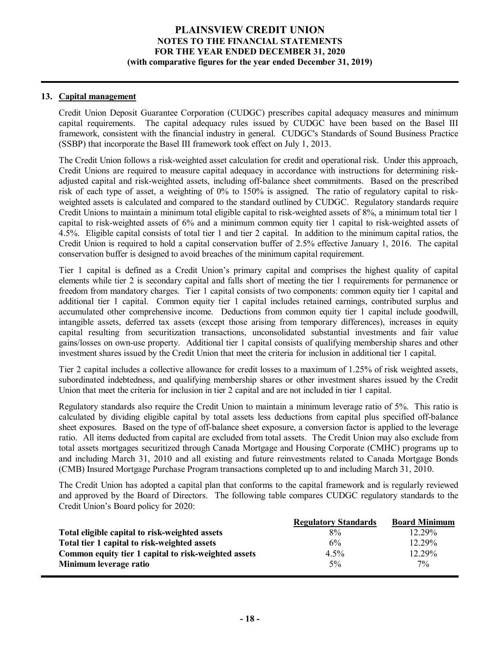## **13. Capital management**

Credit Union Deposit Guarantee Corporation (CUDGC) prescribes capital adequacy measures and minimum capital requirements. The capital adequacy rules issued by CUDGC have been based on the Basel III framework, consistent with the financial industry in general. CUDGC's Standards of Sound Business Practice (SSBP) that incorporate the Basel III framework took effect on July 1, 2013.

The Credit Union follows a risk-weighted asset calculation for credit and operational risk. Under this approach, Credit Unions are required to measure capital adequacy in accordance with instructions for determining riskadjusted capital and risk-weighted assets, including off-balance sheet commitments. Based on the prescribed risk of each type of asset, a weighting of 0% to 150% is assigned. The ratio of regulatory capital to riskweighted assets is calculated and compared to the standard outlined by CUDGC. Regulatory standards require Credit Unions to maintain a minimum total eligible capital to risk-weighted assets of 8%, a minimum total tier 1 capital to risk-weighted assets of 6% and a minimum common equity tier 1 capital to risk-weighted assets of 4.5%. Eligible capital consists of total tier 1 and tier 2 capital. In addition to the minimum capital ratios, the Credit Union is required to hold a capital conservation buffer of 2.5% effective January 1, 2016. The capital conservation buffer is designed to avoid breaches of the minimum capital requirement.

Tier 1 capital is defined as a Credit Union's primary capital and comprises the highest quality of capital elements while tier 2 is secondary capital and falls short of meeting the tier 1 requirements for permanence or freedom from mandatory charges. Tier 1 capital consists of two components: common equity tier 1 capital and additional tier 1 capital. Common equity tier 1 capital includes retained earnings, contributed surplus and accumulated other comprehensive income. Deductions from common equity tier 1 capital include goodwill, intangible assets, deferred tax assets (except those arising from temporary differences), increases in equity capital resulting from securitization transactions, unconsolidated substantial investments and fair value gains/losses on own-use property. Additional tier 1 capital consists of qualifying membership shares and other investment shares issued by the Credit Union that meet the criteria for inclusion in additional tier 1 capital.

Tier 2 capital includes a collective allowance for credit losses to a maximum of 1.25% of risk weighted assets, subordinated indebtedness, and qualifying membership shares or other investment shares issued by the Credit Union that meet the criteria for inclusion in tier 2 capital and are not included in tier 1 capital.

Regulatory standards also require the Credit Union to maintain a minimum leverage ratio of 5%. This ratio is calculated by dividing eligible capital by total assets less deductions from capital plus specified off-balance sheet exposures. Based on the type of off-balance sheet exposure, a conversion factor is applied to the leverage ratio. All items deducted from capital are excluded from total assets. The Credit Union may also exclude from total assets mortgages securitized through Canada Mortgage and Housing Corporate (CMHC) programs up to and including March 31, 2010 and all existing and future reinvestments related to Canada Mortgage Bonds (CMB) Insured Mortgage Purchase Program transactions completed up to and including March 31, 2010.

The Credit Union has adopted a capital plan that conforms to the capital framework and is regularly reviewed and approved by the Board of Directors. The following table compares CUDGC regulatory standards to the Credit Union's Board policy for 2020:

|                                                      | <b>Regulatory Standards</b> | <b>Board Minimum</b> |
|------------------------------------------------------|-----------------------------|----------------------|
| Total eligible capital to risk-weighted assets       | 8%                          | 12.29%               |
| Total tier 1 capital to risk-weighted assets         | 6%                          | 12.29%               |
| Common equity tier 1 capital to risk-weighted assets | $4.5\%$                     | 12.29%               |
| Minimum leverage ratio                               | $5\%$                       | $7\%$                |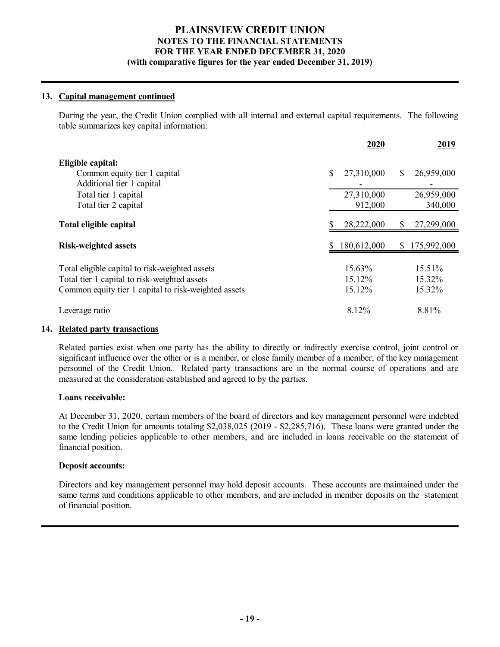## **13. Capital management continued**

During the year, the Credit Union complied with all internal and external capital requirements. The following table summarizes key capital information:

|                                                                                                                                                        |   | 2020                       |     | 2019                          |
|--------------------------------------------------------------------------------------------------------------------------------------------------------|---|----------------------------|-----|-------------------------------|
| Eligible capital:<br>Common equity tier 1 capital<br>Additional tier 1 capital                                                                         | S | 27,310,000                 | \$. | 26,959,000                    |
| Total tier 1 capital<br>Total tier 2 capital                                                                                                           |   | 27,310,000<br>912,000      |     | 26,959,000<br>340,000         |
| Total eligible capital                                                                                                                                 |   | 28,222,000                 | \$  | 27,299,000                    |
| <b>Risk-weighted assets</b>                                                                                                                            |   | 180,612,000                |     | \$175,992,000                 |
| Total eligible capital to risk-weighted assets<br>Total tier 1 capital to risk-weighted assets<br>Common equity tier 1 capital to risk-weighted assets |   | 15.63%<br>15.12%<br>15.12% |     | $15.51\%$<br>15.32%<br>15.32% |
| Leverage ratio                                                                                                                                         |   | 8.12%                      |     | 8.81%                         |

## **14. Related party transactions**

Related parties exist when one party has the ability to directly or indirectly exercise control, joint control or significant influence over the other or is a member, or close family member of a member, of the key management personnel of the Credit Union. Related party transactions are in the normal course of operations and are measured at the consideration established and agreed to by the parties.

## **Loans receivable:**

At December 31, 2020, certain members of the board of directors and key management personnel were indebted to the Credit Union for amounts totaling \$2,038,025 (2019 - \$2,285,716). These loans were granted under the same lending policies applicable to other members, and are included in loans receivable on the statement of financial position.

## **Deposit accounts:**

Directors and key management personnel may hold deposit accounts. These accounts are maintained under the same terms and conditions applicable to other members, and are included in member deposits on the statement of financial position.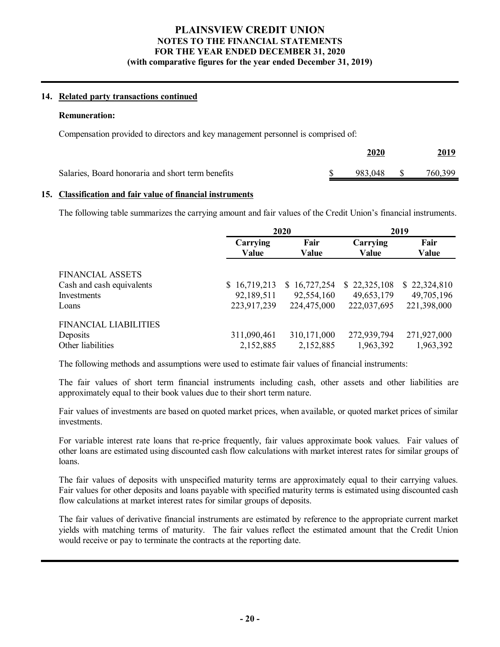## **14. Related party transactions continued**

#### **Remuneration:**

Compensation provided to directors and key management personnel is comprised of:

|                                                   | 2020       | <u>2019</u> |
|---------------------------------------------------|------------|-------------|
| Salaries, Board honoraria and short term benefits | 983,048 \$ | 760,399     |

#### **15. Classification and fair value of financial instruments**

The following table summarizes the carrying amount and fair values of the Credit Union's financial instruments.

|                              |                   | 2020                 | 2019                     |               |  |
|------------------------------|-------------------|----------------------|--------------------------|---------------|--|
|                              | Carrying<br>Value | Fair<br><b>Value</b> | Carrying<br><b>Value</b> | Fair<br>Value |  |
| FINANCIAL ASSETS             |                   |                      |                          |               |  |
| Cash and cash equivalents    | \$16,719,213      | \$16,727,254         | \$22,325,108             | \$22,324,810  |  |
| Investments                  | 92,189,511        | 92,554,160           | 49,653,179               | 49,705,196    |  |
| Loans                        | 223,917,239       | 224,475,000          | 222,037,695              | 221,398,000   |  |
| <b>FINANCIAL LIABILITIES</b> |                   |                      |                          |               |  |
| Deposits                     | 311,090,461       | 310,171,000          | 272,939,794              | 271,927,000   |  |
| Other liabilities            | 2,152,885         | 2,152,885            | 1,963,392                | 1,963,392     |  |

The following methods and assumptions were used to estimate fair values of financial instruments:

The fair values of short term financial instruments including cash, other assets and other liabilities are approximately equal to their book values due to their short term nature.

Fair values of investments are based on quoted market prices, when available, or quoted market prices of similar investments.

For variable interest rate loans that re-price frequently, fair values approximate book values. Fair values of other loans are estimated using discounted cash flow calculations with market interest rates for similar groups of loans.

The fair values of deposits with unspecified maturity terms are approximately equal to their carrying values. Fair values for other deposits and loans payable with specified maturity terms is estimated using discounted cash flow calculations at market interest rates for similar groups of deposits.

The fair values of derivative financial instruments are estimated by reference to the appropriate current market yields with matching terms of maturity. The fair values reflect the estimated amount that the Credit Union would receive or pay to terminate the contracts at the reporting date.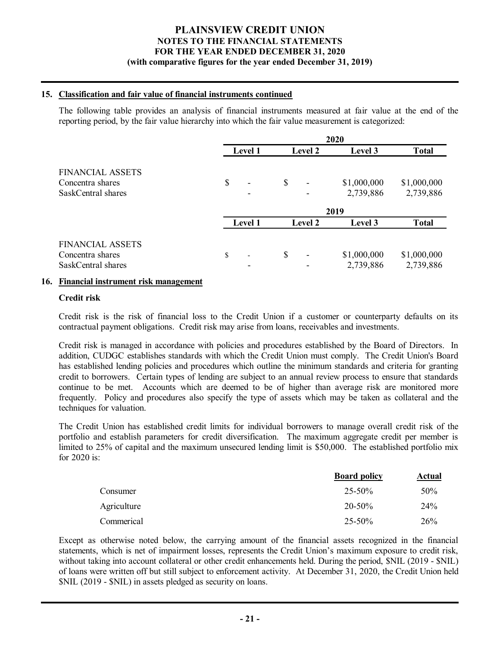## **15. Classification and fair value of financial instruments continued**

The following table provides an analysis of financial instruments measured at fair value at the end of the reporting period, by the fair value hierarchy into which the fair value measurement is categorized:

|                         |         |                | 2020        |              |
|-------------------------|---------|----------------|-------------|--------------|
|                         | Level 1 | <b>Level 2</b> | Level 3     | <b>Total</b> |
| <b>FINANCIAL ASSETS</b> |         |                |             |              |
| Concentra shares        | \$      | \$<br>-        | \$1,000,000 | \$1,000,000  |
| SaskCentral shares      |         |                | 2,739,886   | 2,739,886    |
|                         |         |                | 2019        |              |
|                         | Level 1 | <b>Level 2</b> | Level 3     | <b>Total</b> |
| FINANCIAL ASSETS        |         |                |             |              |
| Concentra shares        | \$      | \$             | \$1,000,000 | \$1,000,000  |
| SaskCentral shares      |         |                | 2,739,886   | 2,739,886    |

## **16. Financial instrument risk management**

## **Credit risk**

Credit risk is the risk of financial loss to the Credit Union if a customer or counterparty defaults on its contractual payment obligations. Credit risk may arise from loans, receivables and investments.

Credit risk is managed in accordance with policies and procedures established by the Board of Directors. In addition, CUDGC establishes standards with which the Credit Union must comply. The Credit Union's Board has established lending policies and procedures which outline the minimum standards and criteria for granting credit to borrowers. Certain types of lending are subject to an annual review process to ensure that standards continue to be met. Accounts which are deemed to be of higher than average risk are monitored more frequently. Policy and procedures also specify the type of assets which may be taken as collateral and the techniques for valuation.

The Credit Union has established credit limits for individual borrowers to manage overall credit risk of the portfolio and establish parameters for credit diversification. The maximum aggregate credit per member is limited to 25% of capital and the maximum unsecured lending limit is \$50,000. The established portfolio mix for 2020 is:

|             | <b>Board policy</b> | Actual |
|-------------|---------------------|--------|
| Consumer    | $25 - 50\%$         | 50%    |
| Agriculture | $20 - 50\%$         | 24%    |
| Commerical  | 25-50%              | 26%    |

Except as otherwise noted below, the carrying amount of the financial assets recognized in the financial statements, which is net of impairment losses, represents the Credit Union's maximum exposure to credit risk, without taking into account collateral or other credit enhancements held. During the period,  $\text{SNIL} (2019 - \text{SNIL})$ of loans were written off but still subject to enforcement activity. At December 31, 2020, the Credit Union held \$NIL (2019 - \$NIL) in assets pledged as security on loans.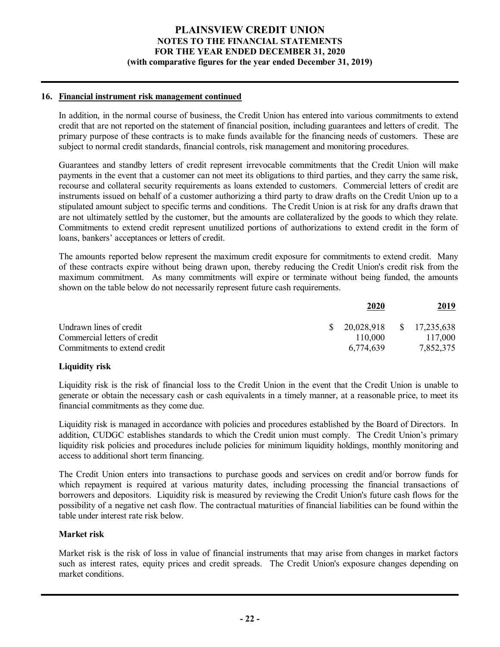## **16. Financial instrument risk management continued**

In addition, in the normal course of business, the Credit Union has entered into various commitments to extend credit that are not reported on the statement of financial position, including guarantees and letters of credit. The primary purpose of these contracts is to make funds available for the financing needs of customers. These are subject to normal credit standards, financial controls, risk management and monitoring procedures.

Guarantees and standby letters of credit represent irrevocable commitments that the Credit Union will make payments in the event that a customer can not meet its obligations to third parties, and they carry the same risk, recourse and collateral security requirements as loans extended to customers. Commercial letters of credit are instruments issued on behalf of a customer authorizing a third party to draw drafts on the Credit Union up to a stipulated amount subject to specific terms and conditions. The Credit Union is at risk for any drafts drawn that are not ultimately settled by the customer, but the amounts are collateralized by the goods to which they relate. Commitments to extend credit represent unutilized portions of authorizations to extend credit in the form of loans, bankers' acceptances or letters of credit.

The amounts reported below represent the maximum credit exposure for commitments to extend credit. Many of these contracts expire without being drawn upon, thereby reducing the Credit Union's credit risk from the maximum commitment. As many commitments will expire or terminate without being funded, the amounts shown on the table below do not necessarily represent future cash requirements.

|                              | 2020                        | <u>2019</u> |
|------------------------------|-----------------------------|-------------|
| Undrawn lines of credit      | $$20,028,918$ $$17,235,638$ |             |
| Commercial letters of credit | 110.000                     | 117,000     |
| Commitments to extend credit | 6,774,639                   | 7,852,375   |

## **Liquidity risk**

Liquidity risk is the risk of financial loss to the Credit Union in the event that the Credit Union is unable to generate or obtain the necessary cash or cash equivalents in a timely manner, at a reasonable price, to meet its financial commitments as they come due.

Liquidity risk is managed in accordance with policies and procedures established by the Board of Directors. In addition, CUDGC establishes standards to which the Credit union must comply. The Credit Union's primary liquidity risk policies and procedures include policies for minimum liquidity holdings, monthly monitoring and access to additional short term financing.

The Credit Union enters into transactions to purchase goods and services on credit and/or borrow funds for which repayment is required at various maturity dates, including processing the financial transactions of borrowers and depositors. Liquidity risk is measured by reviewing the Credit Union's future cash flows for the possibility of a negative net cash flow. The contractual maturities of financial liabilities can be found within the table under interest rate risk below.

#### **Market risk**

Market risk is the risk of loss in value of financial instruments that may arise from changes in market factors such as interest rates, equity prices and credit spreads. The Credit Union's exposure changes depending on market conditions.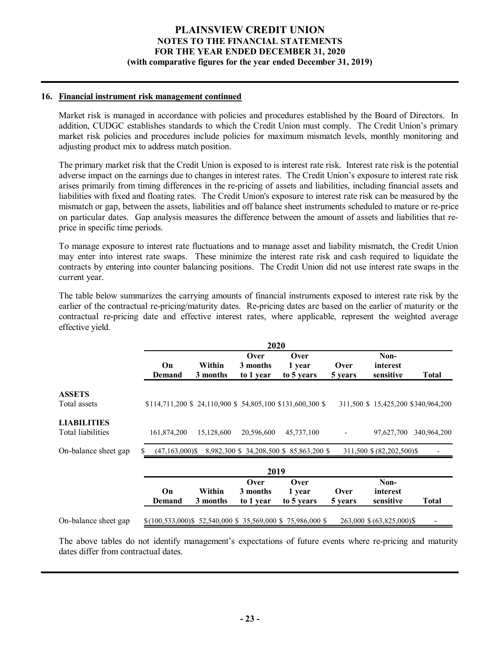## **16. Financial instrument risk management continued**

Market risk is managed in accordance with policies and procedures established by the Board of Directors. In addition, CUDGC establishes standards to which the Credit Union must comply. The Credit Union's primary market risk policies and procedures include policies for maximum mismatch levels, monthly monitoring and adjusting product mix to address match position.

The primary market risk that the Credit Union is exposed to is interest rate risk. Interest rate risk is the potential adverse impact on the earnings due to changes in interest rates. The Credit Union's exposure to interest rate risk arises primarily from timing differences in the re-pricing of assets and liabilities, including financial assets and liabilities with fixed and floating rates. The Credit Union's exposure to interest rate risk can be measured by the mismatch or gap, between the assets, liabilities and off balance sheet instruments scheduled to mature or re-price on particular dates. Gap analysis measures the difference between the amount of assets and liabilities that reprice in specific time periods.

To manage exposure to interest rate fluctuations and to manage asset and liability mismatch, the Credit Union may enter into interest rate swaps. These minimize the interest rate risk and cash required to liquidate the contracts by entering into counter balancing positions. The Credit Union did not use interest rate swaps in the current year.

The table below summarizes the carrying amounts of financial instruments exposed to interest rate risk by the earlier of the contractual re-pricing/maturity dates. Re-pricing dates are based on the earlier of maturity or the contractual re-pricing date and effective interest rates, where applicable, represent the weighted average effective yield.

|                                         |                     |                    | 2020                          |                                                                   |                 |                               |                                     |
|-----------------------------------------|---------------------|--------------------|-------------------------------|-------------------------------------------------------------------|-----------------|-------------------------------|-------------------------------------|
|                                         | On<br>Demand        | Within<br>3 months | Over<br>3 months<br>to 1 year | Over<br>1 year<br>to 5 years                                      | Over<br>5 years | Non-<br>interest<br>sensitive | Total                               |
| <b>ASSETS</b><br>Total assets           |                     |                    |                               | $$114,711,200 \$ $$24,110,900 \$ $$54,805,100 \$ $$131,600,300 \$ |                 |                               | 311,500 \$ 15,425,200 \$340,964,200 |
| <b>LIABILITIES</b><br>Total liabilities | 161,874,200         | 15,128,600         | 20,596,600                    | 45,737,100                                                        |                 | 97,627,700                    | 340,964,200                         |
| On-balance sheet gap                    | $(47, 163, 000)$ \$ |                    |                               | 8,982,300 \$ 34,208,500 \$ 85,863,200 \$                          |                 | 311,500 \$ (82,202,500)\$     |                                     |
|                                         |                     |                    | 2019                          |                                                                   |                 |                               |                                     |
|                                         | On<br>Demand        | Within<br>3 months | Over<br>3 months<br>to 1 year | Over<br>1 year<br>to 5 years                                      | Over<br>5 years | Non-<br>interest<br>sensitive | <b>Total</b>                        |
| On-balance sheet gap                    |                     |                    |                               | $$(100,533,000)$ \$ 52,540,000 \$ 35,569,000 \$ 75,986,000 \$     |                 | 263,000 \$ (63,825,000)\$     |                                     |

The above tables do not identify management's expectations of future events where re-pricing and maturity dates differ from contractual dates.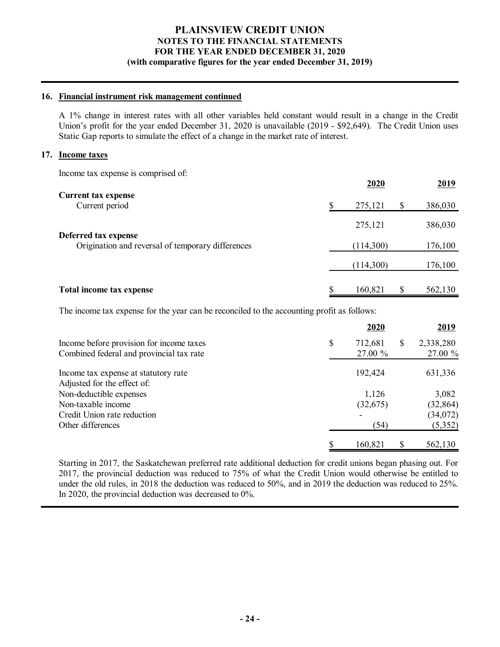## **16. Financial instrument risk management continued**

A 1% change in interest rates with all other variables held constant would result in a change in the Credit Union's profit for the year ended December 31, 2020 is unavailable (2019 - \$92,649). The Credit Union uses Static Gap reports to simulate the effect of a change in the market rate of interest.

#### **17. Income taxes**

Income tax expense is comprised of:

|                                                                           | 2020      |    | 2019    |
|---------------------------------------------------------------------------|-----------|----|---------|
| <b>Current tax expense</b><br>Current period                              | 275,121   | \$ | 386,030 |
|                                                                           | 275,121   |    | 386,030 |
| Deferred tax expense<br>Origination and reversal of temporary differences | (114,300) |    | 176,100 |
|                                                                           | (114,300) |    | 176,100 |
| Total income tax expense                                                  | 160,821   | S  | 562,130 |

The income tax expense for the year can be reconciled to the accounting profit as follows:

|                                          | 2020                     |   | 2019      |
|------------------------------------------|--------------------------|---|-----------|
| Income before provision for income taxes | \$<br>712,681            | S | 2,338,280 |
| Combined federal and provincial tax rate | 27.00 %                  |   | 27.00 %   |
| Income tax expense at statutory rate     | 192,424                  |   | 631,336   |
| Adjusted for the effect of:              |                          |   |           |
| Non-deductible expenses                  | 1,126                    |   | 3,082     |
| Non-taxable income                       | (32,675)                 |   | (32, 864) |
| Credit Union rate reduction              | $\overline{\phantom{a}}$ |   | (34,072)  |
| Other differences                        | (54)                     |   | (5,352)   |
|                                          | 160,821                  |   | 562,130   |

Starting in 2017, the Saskatchewan preferred rate additional deduction for credit unions began phasing out. For 2017, the provincial deduction was reduced to 75% of what the Credit Union would otherwise be entitled to under the old rules, in 2018 the deduction was reduced to 50%, and in 2019 the deduction was reduced to 25%. In 2020, the provincial deduction was decreased to 0%.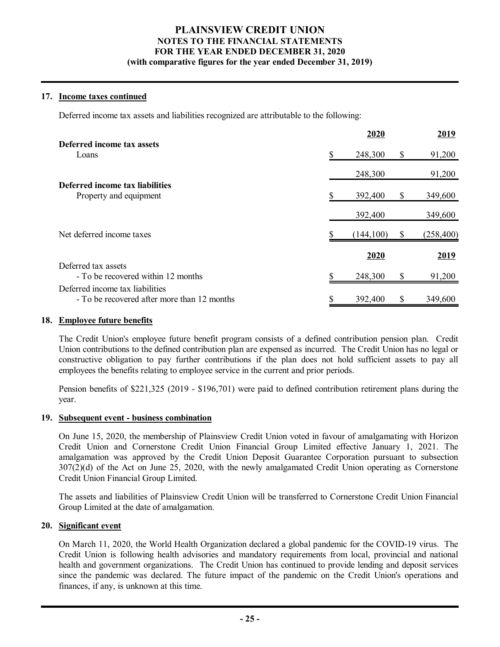## **17. Income taxes continued**

Deferred income tax assets and liabilities recognized are attributable to the following:

|                                             |   | 2020       |    | 2019       |
|---------------------------------------------|---|------------|----|------------|
| Deferred income tax assets                  |   |            |    |            |
| Loans                                       |   | 248,300    | \$ | 91,200     |
|                                             |   | 248,300    |    | 91,200     |
| Deferred income tax liabilities             |   |            |    |            |
| Property and equipment                      |   | 392,400    | \$ | 349,600    |
|                                             |   | 392,400    |    | 349,600    |
| Net deferred income taxes                   |   | (144, 100) | S  | (258, 400) |
|                                             |   | 2020       |    | 2019       |
| Deferred tax assets                         |   |            |    |            |
| - To be recovered within 12 months          |   | 248,300    | \$ | 91,200     |
| Deferred income tax liabilities             |   |            |    |            |
| - To be recovered after more than 12 months | S | 392,400    | \$ | 349,600    |

## **18. Employee future benefits**

The Credit Union's employee future benefit program consists of a defined contribution pension plan. Credit Union contributions to the defined contribution plan are expensed as incurred. The Credit Union has no legal or constructive obligation to pay further contributions if the plan does not hold sufficient assets to pay all employees the benefits relating to employee service in the current and prior periods.

Pension benefits of \$221,325 (2019 - \$196,701) were paid to defined contribution retirement plans during the year.

## **19. Subsequent event - business combination**

On June 15, 2020, the membership of Plainsview Credit Union voted in favour of amalgamating with Horizon Credit Union and Cornerstone Credit Union Financial Group Limited effective January 1, 2021. The amalgamation was approved by the Credit Union Deposit Guarantee Corporation pursuant to subsection 307(2)(d) of the Act on June 25, 2020, with the newly amalgamated Credit Union operating as Cornerstone Credit Union Financial Group Limited.

The assets and liabilities of Plainsview Credit Union will be transferred to Cornerstone Credit Union Financial Group Limited at the date of amalgamation.

## **20. Significant event**

On March 11, 2020, the World Health Organization declared a global pandemic for the COVID-19 virus. The Credit Union is following health advisories and mandatory requirements from local, provincial and national health and government organizations. The Credit Union has continued to provide lending and deposit services since the pandemic was declared. The future impact of the pandemic on the Credit Union's operations and finances, if any, is unknown at this time.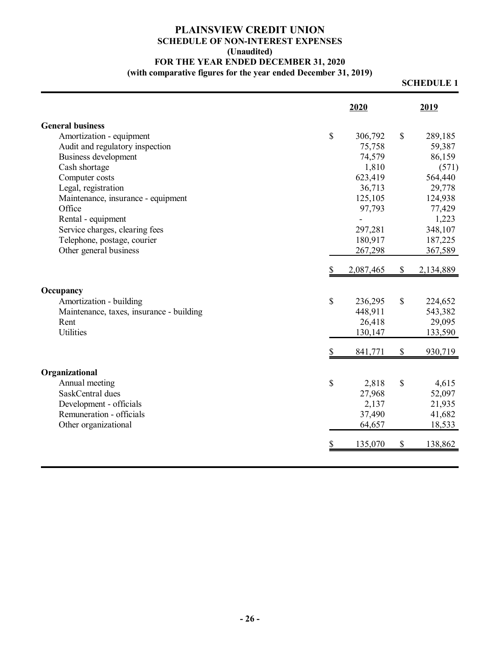## **PLAINSVIEW CREDIT UNION SCHEDULE OF NON-INTEREST EXPENSES (Unaudited) FOR THE YEAR ENDED DECEMBER 31, 2020 (with comparative figures for the year ended December 31, 2019)**

## **SCHEDULE 1**

|    | 2020      |                                               | 2019               |
|----|-----------|-----------------------------------------------|--------------------|
|    |           |                                               |                    |
| \$ | 306,792   | \$                                            | 289,185            |
|    | 75,758    |                                               | 59,387             |
|    | 74,579    |                                               | 86,159             |
|    | 1,810     |                                               | (571)              |
|    | 623,419   |                                               | 564,440            |
|    | 36,713    |                                               | 29,778             |
|    | 125,105   |                                               | 124,938            |
|    | 97,793    |                                               | 77,429             |
|    |           |                                               | 1,223              |
|    | 297,281   |                                               | 348,107            |
|    | 180,917   |                                               | 187,225            |
|    | 267,298   |                                               | 367,589            |
|    | 2,087,465 | \$                                            | 2,134,889          |
|    |           |                                               |                    |
| \$ |           |                                               | 224,652            |
|    | 448,911   |                                               | 543,382            |
|    | 26,418    |                                               | 29,095             |
|    | 130,147   |                                               | 133,590            |
|    | 841,771   | \$                                            | 930,719            |
|    |           |                                               |                    |
|    |           |                                               | 4,615              |
|    |           |                                               | 52,097             |
|    |           |                                               | 21,935             |
|    |           |                                               | 41,682             |
|    | 64,657    |                                               | 18,533             |
| S  | 135,070   | \$                                            | 138,862            |
|    | \$        | 236,295<br>2,818<br>27,968<br>2,137<br>37,490 | \$<br>$\mathbb{S}$ |